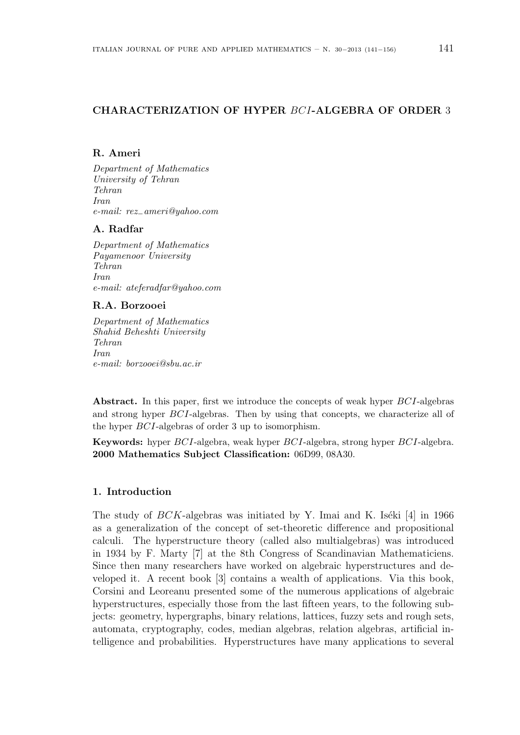# **CHARACTERIZATION OF HYPER** *BCI***-ALGEBRA OF ORDER** 3

## **R. Ameri**

*Department of Mathematics University of Tehran Tehran Iran e-mail: rez−ameri@yahoo.com*

#### **A. Radfar**

*Department of Mathematics Payamenoor University Tehran Iran e-mail: ateferadfar@yahoo.com*

## **R.A. Borzooei**

*Department of Mathematics Shahid Beheshti University Tehran Iran e-mail: borzooei@sbu.ac.ir*

**Abstract.** In this paper, first we introduce the concepts of weak hyper *BCI*-algebras and strong hyper *BCI*-algebras. Then by using that concepts, we characterize all of the hyper *BCI*-algebras of order 3 up to isomorphism.

**Keywords:** hyper *BCI*-algebra, weak hyper *BCI*-algebra, strong hyper *BCI*-algebra. **2000 Mathematics Subject Classification:** 06D99, 08A30.

## **1. Introduction**

The study of  $BCK$ -algebras was initiated by Y. Imai and K. Iséki [4] in 1966 as a generalization of the concept of set-theoretic difference and propositional calculi. The hyperstructure theory (called also multialgebras) was introduced in 1934 by F. Marty [7] at the 8th Congress of Scandinavian Mathematiciens. Since then many researchers have worked on algebraic hyperstructures and developed it. A recent book [3] contains a wealth of applications. Via this book, Corsini and Leoreanu presented some of the numerous applications of algebraic hyperstructures, especially those from the last fifteen years, to the following subjects: geometry, hypergraphs, binary relations, lattices, fuzzy sets and rough sets, automata, cryptography, codes, median algebras, relation algebras, artificial intelligence and probabilities. Hyperstructures have many applications to several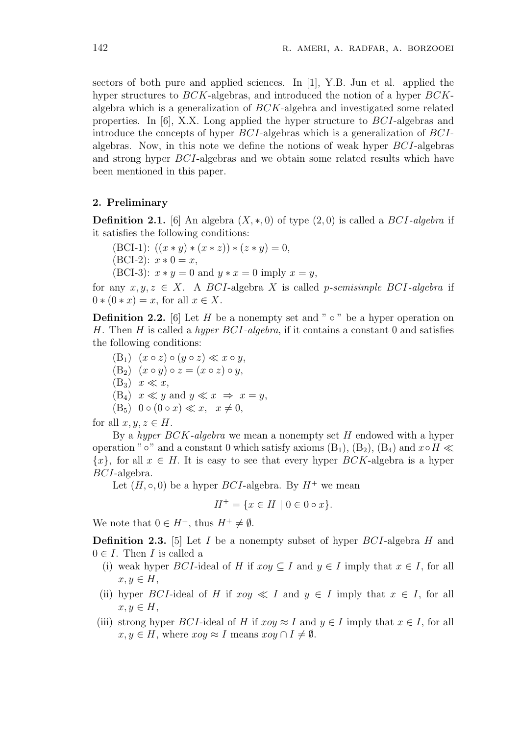sectors of both pure and applied sciences. In [1], Y.B. Jun et al. applied the hyper structures to *BCK*-algebras, and introduced the notion of a hyper *BCK*algebra which is a generalization of *BCK*-algebra and investigated some related properties. In [6], X.X. Long applied the hyper structure to *BCI*-algebras and introduce the concepts of hyper *BCI*-algebras which is a generalization of *BCI*algebras. Now, in this note we define the notions of weak hyper *BCI*-algebras and strong hyper *BCI*-algebras and we obtain some related results which have been mentioned in this paper.

## **2. Preliminary**

**Definition 2.1.** [6] An algebra  $(X, *, 0)$  of type  $(2, 0)$  is called a *BCI-algebra* if it satisfies the following conditions:

 $(BCI-1): ((x * y) * (x * z)) * (z * y) = 0,$  $(BCI-2): x * 0 = x,$ (BCI-3):  $x * y = 0$  and  $y * x = 0$  imply  $x = y$ ,

for any  $x, y, z \in X$ . A *BCI*-algebra *X* is called *p*-semisimple *BCI*-algebra if  $0 * (0 * x) = x$ , for all  $x \in X$ .

**Definition 2.2.** [6] Let *H* be a nonempty set and " *◦* " be a hyper operation on *H*. Then *H* is called a *hyper BCI-algebra*, if it contains a constant 0 and satisfies the following conditions:

- $(B_1)$   $(x \circ z) \circ (y \circ z) \ll x \circ y$ ,  $(B_2)$   $(x \circ y) \circ z = (x \circ z) \circ y$ ,
- $(B_3)$   $x \ll x$ ,
- $(B_4)$   $x \ll y$  and  $y \ll x \implies x = y$ ,
- $(B_5) \ 0 \circ (0 \circ x) \ll x, \quad x \neq 0,$

for all  $x, y, z \in H$ .

By a *hyper BCK-algebra* we mean a nonempty set *H* endowed with a hyper operation "<sup>°</sup>  $\circ$ " and a constant 0 which satisfy axioms (B<sub>1</sub>), (B<sub>2</sub>), (B<sub>4</sub>) and  $x \circ H \ll$  ${x}$ *,* for all  $x \in H$ . It is easy to see that every hyper *BCK*-algebra is a hyper *BCI*-algebra.

Let  $(H, \circ, 0)$  be a hyper *BCI*-algebra. By  $H^+$  we mean

$$
H^+ = \{ x \in H \mid 0 \in 0 \circ x \}.
$$

We note that  $0 \in H^+$ , thus  $H^+ \neq \emptyset$ .

**Definition 2.3.** [5] Let *I* be a nonempty subset of hyper *BCI*-algebra *H* and  $0 \in I$ . Then *I* is called a

- (i) weak hyper *BCI*-ideal of *H* if  $xoy \subseteq I$  and  $y \in I$  imply that  $x \in I$ , for all  $x, y \in H$ ,
- (ii) hyper *BCI*-ideal of *H* if  $x \circ y \ll I$  and  $y \in I$  imply that  $x \in I$ , for all  $x, y \in H$ ,
- (iii) strong hyper *BCI*-ideal of *H* if  $xoy \approx I$  and  $y \in I$  imply that  $x \in I$ , for all  $x, y \in H$ , where  $xoy \approx I$  means  $xoy \cap I \neq \emptyset$ .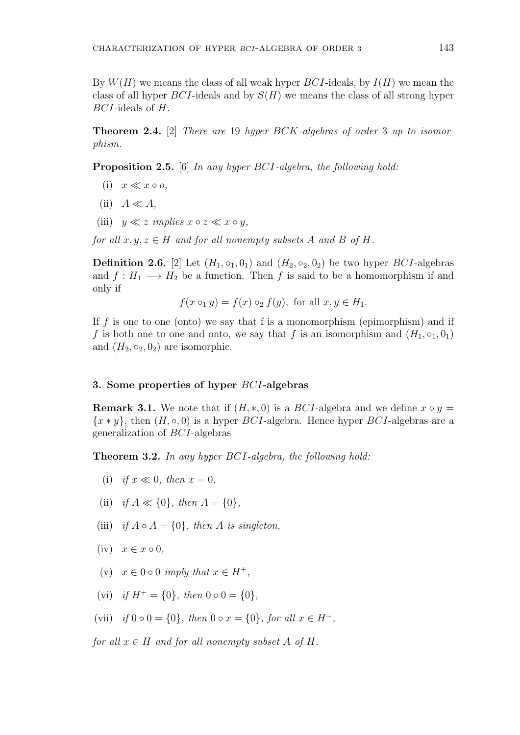By *W*(*H*) we means the class of all weak hyper *BCI*-ideals, by *I*(*H*) we mean the class of all hyper *BCI*-ideals and by *S*(*H*) we means the class of all strong hyper *BCI*-ideals of *H*.

**Theorem 2.4.** [2] *There are* 19 *hyper BCK-algebras of order* 3 *up to isomorphism.*

**Proposition 2.5.** [6] *In any hyper BCI-algebra, the following hold:*

- $(i)$   $x \ll x \circ o$ ,
- $(iii)$  *A*  $\ll$  *A*,
- (iii)  $y \ll z$  *implies*  $x \circ z \ll x \circ y$ ,

*for all*  $x, y, z \in H$  *and for all nonempty subsets A and B of H*.

**Definition 2.6.** [2] Let  $(H_1, \circ_1, 0_1)$  and  $(H_2, \circ_2, 0_2)$  be two hyper *BCI*-algebras and  $f: H_1 \longrightarrow H_2$  be a function. Then f is said to be a homomorphism if and only if

 $f(x \circ y) = f(x) \circ z f(y)$ , for all  $x, y \in H_1$ .

If *f* is one to one (onto) we say that f is a monomorphism (epimorphism) and if *f* is both one to one and onto, we say that *f* is an isomorphism and  $(H_1, \circ_1, 0_1)$ and  $(H_2, \circ_2, 0_2)$  are isomorphic.

### **3. Some properties of hyper** *BCI***-algebras**

**Remark 3.1.** We note that if  $(H, *, 0)$  is a *BCI*-algebra and we define  $x \circ y =$  ${x * y}$ , then  $(H, \circ, 0)$  is a hyper *BCI*-algebra. Hence hyper *BCI*-algebras are a generalization of *BCI*-algebras

**Theorem 3.2.** *In any hyper BCI-algebra, the following hold:*

- (i) *if*  $x \ll 0$ *, then*  $x = 0$ *,*
- (ii) *if*  $A \ll \{0\}$ *, then*  $A = \{0\}$ *,*
- (iii) *if*  $A \circ A = \{0\}$ *, then*  $A$  *is singleton,*
- $(iv)$   $x \in x \circ 0$ ,
- $(x)$   $x \in 0$   $\circ$  0 *imply that*  $x \in H^+$ ,
- $(vi)$  *if*  $H^+ = \{0\}$ *, then*  $0 \circ 0 = \{0\}$ *,*
- $(vii)$  *if*  $0 \circ 0 = \{0\}$ *, then*  $0 \circ x = \{0\}$ *, for all*  $x \in H^+$ *,*

*for all*  $x \in H$  *and for all nonempty subset*  $A$  *of*  $H$ *.*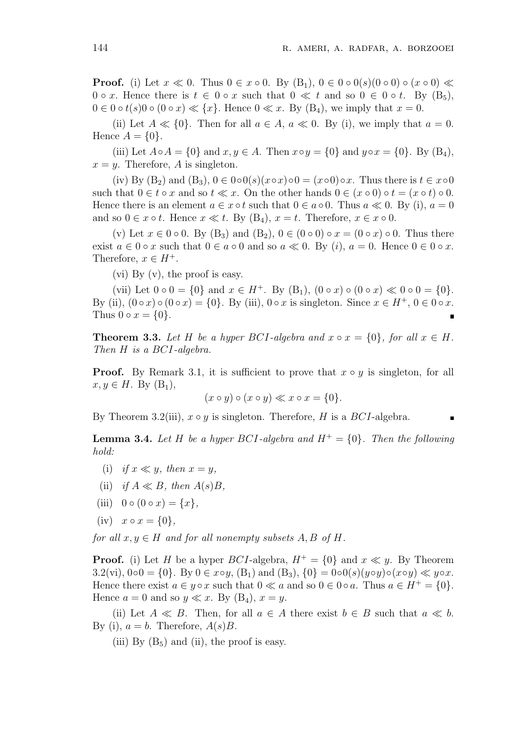**Proof.** (i) Let  $x \ll 0$ . Thus  $0 \in x \circ 0$ . By  $(B_1)$ ,  $0 \in 0 \circ 0(s)(0 \circ 0) \circ (x \circ 0) \ll$  $0 \circ x$ . Hence there is  $t \in 0 \circ x$  such that  $0 \ll t$  and so  $0 \in 0 \circ t$ . By  $(B_5)$ ,  $0 \in 0 \circ t(s)0 \circ (0 \circ x) \ll \{x\}$ . Hence  $0 \ll x$ . By  $(B_4)$ , we imply that  $x = 0$ .

(ii) Let  $A \ll \{0\}$ . Then for all  $a \in A$ ,  $a \ll 0$ . By (i), we imply that  $a = 0$ . Hence  $A = \{0\}$ .

(iii) Let  $A \circ A = \{0\}$  and  $x, y \in A$ . Then  $x \circ y = \{0\}$  and  $y \circ x = \{0\}$ . By  $(B_4)$ ,  $x = y$ . Therefore, *A* is singleton.

 $(iv) By (B<sub>2</sub>) and (B<sub>3</sub>), 0 \in 0 \circ 0(s)(x \circ x) \circ 0 = (x \circ 0) \circ x$ . Thus there is  $t \in x \circ 0$ such that  $0 \in t \circ x$  and so  $t \ll x$ . On the other hands  $0 \in (x \circ 0) \circ t = (x \circ t) \circ 0$ . Hence there is an element  $a \in x \circ t$  such that  $0 \in a \circ 0$ . Thus  $a \ll 0$ . By (i),  $a = 0$ and so  $0 \in x \circ t$ . Hence  $x \ll t$ . By  $(B_4)$ ,  $x = t$ . Therefore,  $x \in x \circ 0$ .

(v) Let  $x \in 0 \circ 0$ . By  $(B_3)$  and  $(B_2)$ ,  $0 \in (0 \circ 0) \circ x = (0 \circ x) \circ 0$ . Thus there exist  $a \in 0 \circ x$  such that  $0 \in a \circ 0$  and so  $a \ll 0$ . By  $(i)$ ,  $a = 0$ . Hence  $0 \in 0 \circ x$ . Therefore,  $x \in H^+$ .

(vi) By  $(v)$ , the proof is easy.

(vii) Let  $0 \circ 0 = \{0\}$  and  $x \in H^+$ . By  $(B_1)$ ,  $(0 \circ x) \circ (0 \circ x) \ll 0 \circ 0 = \{0\}$ . By (ii),  $(0 \circ x) \circ (0 \circ x) = \{0\}$ . By (iii),  $0 \circ x$  is singleton. Since  $x \in H^+, 0 \in 0 \circ x$ . Thus  $0 \circ x = \{0\}.$ 

**Theorem 3.3.** Let H be a hyper BCI-algebra and  $x \circ x = \{0\}$ , for all  $x \in H$ . *Then H is a BCI-algebra.*

**Proof.** By Remark 3.1, it is sufficient to prove that *x* ◦ *y* is singleton, for all *x*, *y* ∈ *H*. By  $(B_1)$ ,

$$
(x \circ y) \circ (x \circ y) \ll x \circ x = \{0\}.
$$

By Theorem 3.2(iii),  $x \circ y$  is singleton. Therefore, *H* is a *BCI*-algebra.

**Lemma 3.4.** Let *H* be a hyper *BCI*-algebra and  $H^+ = \{0\}$ *. Then the following hold:*

- (i) *if*  $x \ll y$ *, then*  $x = y$ *,*
- (ii) *if*  $A \ll B$ *, then*  $A(s)B$ *,*
- (iii)  $0 \circ (0 \circ x) = \{x\},\$
- $(iv)$   $x \circ x = \{0\},\$

*for all*  $x, y \in H$  *and for all nonempty subsets*  $A, B$  *of*  $H$ *.* 

**Proof.** (i) Let *H* be a hyper *BCI*-algebra,  $H^+ = \{0\}$  and  $x \ll y$ . By Theorem 3.2(vi),  $0 \circ 0 = \{0\}$ . By  $0 \in x \circ y$ ,  $(B_1)$  and  $(B_3)$ ,  $\{0\} = 0 \circ 0(s)(y \circ y) \circ (x \circ y) \ll y \circ x$ . Hence there exist  $a \in y \circ x$  such that  $0 \ll a$  and so  $0 \in 0 \circ a$ . Thus  $a \in H^+ = \{0\}$ . Hence  $a = 0$  and so  $y \ll x$ . By  $(B_4)$ ,  $x = y$ .

(ii) Let  $A \ll B$ . Then, for all  $a \in A$  there exist  $b \in B$  such that  $a \ll b$ . By (i),  $a = b$ . Therefore,  $A(s)B$ .

(iii) By  $(B_5)$  and (ii), the proof is easy.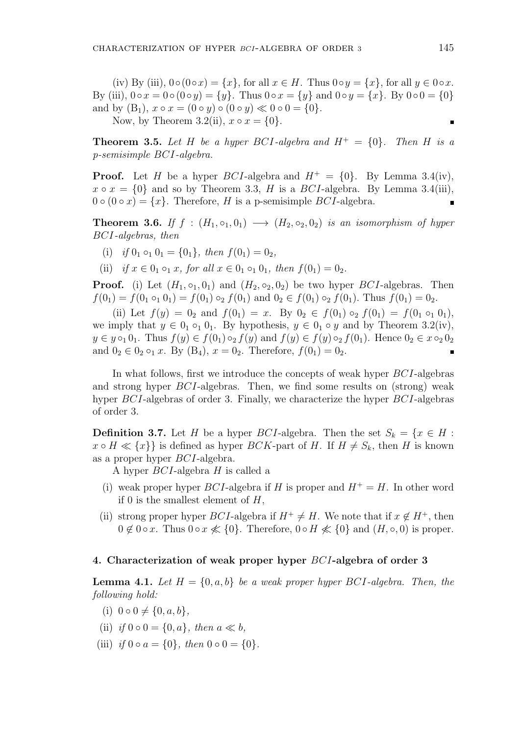(iv) By (iii),  $0 \circ (0 \circ x) = \{x\}$ , for all  $x \in H$ . Thus  $0 \circ y = \{x\}$ , for all  $y \in 0 \circ x$ . By (iii),  $0 \circ x = 0 \circ (0 \circ y) = \{y\}$ . Thus  $0 \circ x = \{y\}$  and  $0 \circ y = \{x\}$ . By  $0 \circ 0 = \{0\}$ and by  $(B_1)$ ,  $x \circ x = (0 \circ y) \circ (0 \circ y) \ll 0 \circ 0 = \{0\}.$ 

Now, by Theorem 3.2(ii),  $x \circ x = \{0\}$ .

**Theorem 3.5.** Let H be a hyper BCI-algebra and  $H^+ = \{0\}$ . Then H is a *p-semisimple BCI-algebra.*

**Proof.** Let *H* be a hyper *BCI*-algebra and  $H^+ = \{0\}$ . By Lemma 3.4(iv),  $x \circ x = \{0\}$  and so by Theorem 3.3, *H* is a *BCI*-algebra. By Lemma 3.4(iii),  $0 \circ (0 \circ x) = \{x\}$ . Therefore, *H* is a p-semisimple *BCI*-algebra. п

**Theorem 3.6.** If  $f : (H_1, \circ_1, 0_1) \rightarrow (H_2, \circ_2, 0_2)$  *is an isomorphism of hyper BCI-algebras, then*

- (i) *if*  $0_1 \circ_1 0_1 = \{0_1\}$ *, then*  $f(0_1) = 0_2$ *,*
- (ii) *if*  $x \in 0_1 \circ_1 x$ , for all  $x \in 0_1 \circ_1 0_1$ , then  $f(0_1) = 0_2$ .

**Proof.** (i) Let  $(H_1, \circ_1, 0_1)$  and  $(H_2, \circ_2, 0_2)$  be two hyper *BCI*-algebras. Then  $f(0_1) = f(0_1 \circ_1 0_1) = f(0_1) \circ_2 f(0_1)$  and  $0_2 \in f(0_1) \circ_2 f(0_1)$ . Thus  $f(0_1) = 0_2$ .

(ii) Let  $f(y) = 0_2$  and  $f(0_1) = x$ . By  $0_2 \in f(0_1) \circ_2 f(0_1) = f(0_1 \circ_1 0_1)$ , we imply that  $y \in 0_1 \circ_1 0_1$ . By hypothesis,  $y \in 0_1 \circ y$  and by Theorem 3.2(iv),  $y \in y \circ_1 0_1$ . Thus  $f(y) \in f(0_1) \circ_2 f(y)$  and  $f(y) \in f(y) \circ_2 f(0_1)$ . Hence  $0_2 \in x \circ_2 0_2$ and  $0_2 \in 0_2 \circ_1 x$ . By  $(B_4)$ ,  $x = 0_2$ . Therefore,  $f(0_1) = 0_2$ .

In what follows, first we introduce the concepts of weak hyper *BCI*-algebras and strong hyper *BCI*-algebras. Then, we find some results on (strong) weak hyper *BCI*-algebras of order 3. Finally, we characterize the hyper *BCI*-algebras of order 3.

**Definition 3.7.** Let *H* be a hyper *BCI*-algebra. Then the set  $S_k = \{x \in H:$  $x \circ H \ll \{x\}$  is defined as hyper *BCK*-part of *H*. If  $H \neq S_k$ , then *H* is known as a proper hyper *BCI*-algebra.

A hyper *BCI*-algebra *H* is called a

- (i) weak proper hyper *BCI*-algebra if *H* is proper and  $H^+ = H$ . In other word if 0 is the smallest element of *H*,
- (ii) strong proper hyper *BCI*-algebra if  $H^+ \neq H$ . We note that if  $x \notin H^+$ , then 0  $\notin$  0  $\circ$  *x*. Thus 0  $\circ$  *x*  $\not\leq$  {0}. Therefore, 0  $\circ$  *H*  $\not\leq$  {0} and (*H*,  $\circ$ , 0) is proper.

#### **4. Characterization of weak proper hyper** *BCI***-algebra of order 3**

**Lemma 4.1.** Let  $H = \{0, a, b\}$  be a weak proper hyper BCI-algebra. Then, the *following hold:*

- $(i)$  0  $\circ$  0  $\neq$  {0, *a*, *b*},
- (ii) *if*  $0 \circ 0 = \{0, a\}$ *, then*  $a \ll b$ *,*
- $(iii)$  *if*  $0 \circ a = \{0\}$ *, then*  $0 \circ 0 = \{0\}$ *.*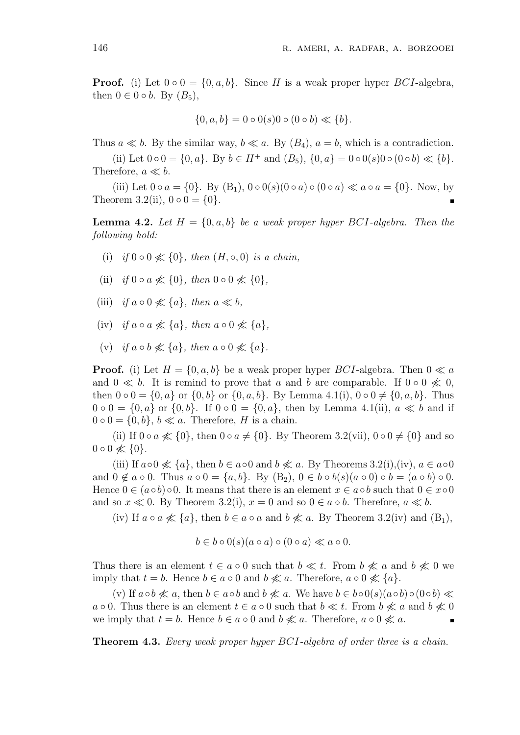**Proof.** (i) Let  $0 \circ 0 = \{0, a, b\}$ . Since *H* is a weak proper hyper *BCI*-algebra, then  $0 \in 0 \circ b$ . By  $(B_5)$ ,

$$
\{0, a, b\} = 0 \circ 0(s)0 \circ (0 \circ b) \ll \{b\}.
$$

Thus  $a \ll b$ . By the similar way,  $b \ll a$ . By  $(B_4)$ ,  $a = b$ , which is a contradiction.

(ii) Let  $0 \circ 0 = \{0, a\}$ . By  $b \in H^+$  and  $(B_5)$ ,  $\{0, a\} = 0 \circ 0(s)0 \circ (0 \circ b) \ll \{b\}$ . Therefore,  $a \ll b$ .

(iii) Let  $0 \circ a = \{0\}$ . By  $(B_1)$ ,  $0 \circ 0(s)(0 \circ a) \circ (0 \circ a) \ll a \circ a = \{0\}$ . Now, by Theorem 3.2(ii),  $0 \circ 0 = \{0\}$ .

**Lemma 4.2.** Let  $H = \{0, a, b\}$  be a weak proper hyper BCI-algebra. Then the *following hold:*

- (i) *if*  $0 \circ 0 \nless 40$ }*, then*  $(H, \circ, 0)$  *is a chain,*
- (ii) *if* 0 **○**  $a \nleq 0$ }, then 0 **○** 0  $\nleq 0$ },
- (iii) *if*  $a \circ 0 \not\ll \{a\}$ *, then*  $a \ll b$ *,*
- (iv) *if a ◦ a ̸≪ {a}, then a ◦* 0 *̸≪ {a},*
- $(v)$  *if*  $a \circ b \nless a$  { $a$ }, then  $a \circ 0 \nless a$  { $a$ }.

**Proof.** (i) Let  $H = \{0, a, b\}$  be a weak proper hyper *BCI*-algebra. Then  $0 \ll a$ and  $0 \ll b$ . It is remind to prove that *a* and *b* are comparable. If  $0 \circ 0 \nless 0$ , then  $0 \circ 0 = \{0, a\}$  or  $\{0, b\}$  or  $\{0, a, b\}$ . By Lemma 4.1(i),  $0 \circ 0 \neq \{0, a, b\}$ . Thus 0 **◦** 0 = {0, *a*} or {0, *b*}. If 0 **◦** 0 = {0, *a*}, then by Lemma 4.1(ii), *a*  $\ll b$  and if  $0 \circ 0 = \{0, b\}, b \ll a$ . Therefore, *H* is a chain.

(ii) If  $0 \circ a \nless 0$ , then  $0 \circ a \neq \{0\}$ . By Theorem 3.2(vii),  $0 \circ 0 \neq \{0\}$  and so 0  $\circ$  0  $\not\ll$  {0}.

(iii) If  $a \circ 0 \nless \{a\}$ , then  $b \in a \circ 0$  and  $b \nless a$ . By Theorems 3.2(i),(iv),  $a \in a \circ 0$ and  $0 \notin a \circ 0$ . Thus  $a \circ 0 = \{a, b\}$ . By  $(B_2)$ ,  $0 \in b \circ b(s)(a \circ 0) \circ b = (a \circ b) \circ 0$ . Hence  $0 \in (a \circ b) \circ 0$ . It means that there is an element  $x \in a \circ b$  such that  $0 \in x \circ 0$ and so  $x \ll 0$ . By Theorem 3.2(i),  $x = 0$  and so  $0 \in a \circ b$ . Therefore,  $a \ll b$ .

(iv) If  $a \circ a \nless \{a\}$ , then  $b \in a \circ a$  and  $b \nless a$ . By Theorem 3.2(iv) and  $(B_1)$ ,

$$
b \in b \circ 0(s)(a \circ a) \circ (0 \circ a) \ll a \circ 0.
$$

Thus there is an element  $t \in a \circ 0$  such that  $b \ll t$ . From  $b \not\ll a$  and  $b \not\ll 0$  we imply that  $t = b$ . Hence  $b \in a \circ 0$  and  $b \nleq a$ . Therefore,  $a \circ 0 \nleq a \in \{a\}$ .

(v) If  $a \circ b \nless a$ , then  $b \in a \circ b$  and  $b \nless a$ . We have  $b \in b \circ 0(s)(a \circ b) \circ (0 \circ b) \ll b$ *a*  $\circ$  0. Thus there is an element *t* ∈ *a*  $\circ$  0 such that *b* ≪ *t*. From *b* ≪ *a* and *b* ≪ 0 we imply that  $t = b$ . Hence  $b \in a \circ 0$  and  $b \nleq a$ . Therefore,  $a \circ 0 \nleq a$ .

**Theorem 4.3.** *Every weak proper hyper BCI-algebra of order three is a chain.*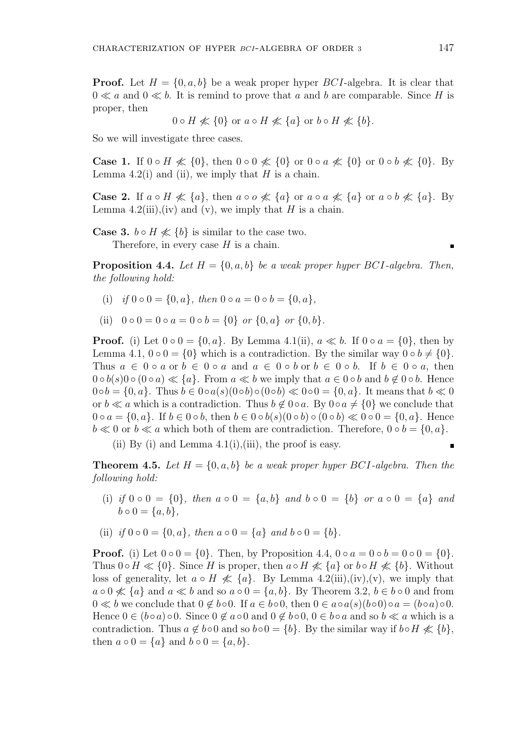**Proof.** Let  $H = \{0, a, b\}$  be a weak proper hyper *BCI*-algebra. It is clear that  $0 \ll a$  and  $0 \ll b$ . It is remind to prove that *a* and *b* are comparable. Since *H* is proper, then

$$
0 \circ H \nless \{0\}
$$
 or  $a \circ H \nless \{a\}$  or  $b \circ H \nless \{b\}$ .

So we will investigate three cases.

**Case 1.** If 0 ∘ *H*  $\not\ll$  {0}, then 0 ∘ 0  $\not\ll$  {0} or 0 ∘ *a*  $\not\ll$  {0} or 0 ∘ *b*  $\not\ll$  {0}. By Lemma  $4.2(i)$  and (ii), we imply that *H* is a chain.

**Case 2.** If  $a \circ H \nleq a$ , then  $a \circ \circ \nleq a$  {a} or  $a \circ a \nleq a$  {a} or  $a \circ b \nleq a$  {a}. By Lemma 4.2(iii),(iv) and (v), we imply that *H* is a chain.

**Case 3.**  $b \circ H \nleq b$  is similar to the case two.

Therefore, in every case *H* is a chain.

**Proposition 4.4.** *Let*  $H = \{0, a, b\}$  *be a weak proper hyper BCI-algebra. Then, the following hold:*

- (i) *if*  $0 \circ 0 = \{0, a\}$ , then  $0 \circ a = 0 \circ b = \{0, a\}$ ,
- (ii)  $0 \circ 0 = 0 \circ a = 0 \circ b = \{0\}$  *or*  $\{0, a\}$  *or*  $\{0, b\}$ *.*

**Proof.** (i) Let  $0 \circ 0 = \{0, a\}$ . By Lemma 4.1(ii),  $a \ll b$ . If  $0 \circ a = \{0\}$ , then by Lemma 4.1,  $0 \circ 0 = \{0\}$  which is a contradiction. By the similar way  $0 \circ b \neq \{0\}$ . Thus  $a \in 0 \circ a$  or  $b \in 0 \circ a$  and  $a \in 0 \circ b$  or  $b \in 0 \circ b$ . If  $b \in 0 \circ a$ , then 0 **∘**  $b(s)$ 0 **∘** (0 **∘** *a*) ≪ {*a*}. From *a* ≪ *b* we imply that *a* ∈ 0 **∘** *b* and *b* ∉ 0 **∘** *b*. Hence  $0 \circ b = \{0, a\}$ . Thus  $b \in 0 \circ a(s)(0 \circ b) \circ (0 \circ b) \ll 0 \circ 0 = \{0, a\}$ . It means that  $b \ll 0$ or  $b \ll a$  which is a contradiction. Thus  $b \not\in 0 \circ a$ . By  $0 \circ a \neq \{0\}$  we conclude that  $0 \circ a = \{0, a\}.$  If  $b \in 0 \circ b$ , then  $b \in 0 \circ b(s)(0 \circ b) \circ (0 \circ b) \ll 0 \circ 0 = \{0, a\}.$  Hence *b* ≪ 0 or *b* ≪ *a* which both of them are contradiction. Therefore,  $0 ∘ b = \{0, a\}$ .

(ii) By (i) and Lemma  $4.1(i)$ , (iii), the proof is easy.

**Theorem 4.5.** Let  $H = \{0, a, b\}$  be a weak proper hyper BCI-algebra. Then the *following hold:*

- (i) if  $0 \circ 0 = \{0\}$ , then  $a \circ 0 = \{a, b\}$  and  $b \circ 0 = \{b\}$  or  $a \circ 0 = \{a\}$  and  $b \circ 0 = \{a, b\}$ .
- (ii) *if*  $0 \circ 0 = \{0, a\}$ , then  $a \circ 0 = \{a\}$  and  $b \circ 0 = \{b\}$ .

**Proof.** (i) Let  $0 \circ 0 = \{0\}$ . Then, by Proposition 4.4,  $0 \circ a = 0 \circ b = 0 \circ 0 = \{0\}$ . Thus  $0 \circ H \ll \{0\}$ . Since *H* is proper, then  $a \circ H \not\ll \{a\}$  or  $b \circ H \not\ll \{b\}$ . Without loss of generality, let  $a \circ H \nless \{a\}$ . By Lemma 4.2(iii),(iv),(v), we imply that  $a \circ 0 \nless \{a\}$  and  $a \ll b$  and so  $a \circ 0 = \{a, b\}$ . By Theorem 3.2,  $b \in b \circ 0$  and from  $0 \ll b$  we conclude that  $0 \notin b \circ 0$ . If  $a \in b \circ 0$ , then  $0 \in a \circ a(s)(b \circ 0) \circ a = (b \circ a) \circ 0$ . Hence  $0 \in (b \circ a) \circ 0$ . Since  $0 \notin a \circ 0$  and  $0 \notin b \circ 0$ ,  $0 \in b \circ a$  and so  $b \ll a$  which is a contradiction. Thus  $a \notin b \circ 0$  and so  $b \circ 0 = \{b\}$ . By the similar way if  $b \circ H \nleq \{b\}$ , then  $a \circ 0 = \{a\}$  and  $b \circ 0 = \{a, b\}$ .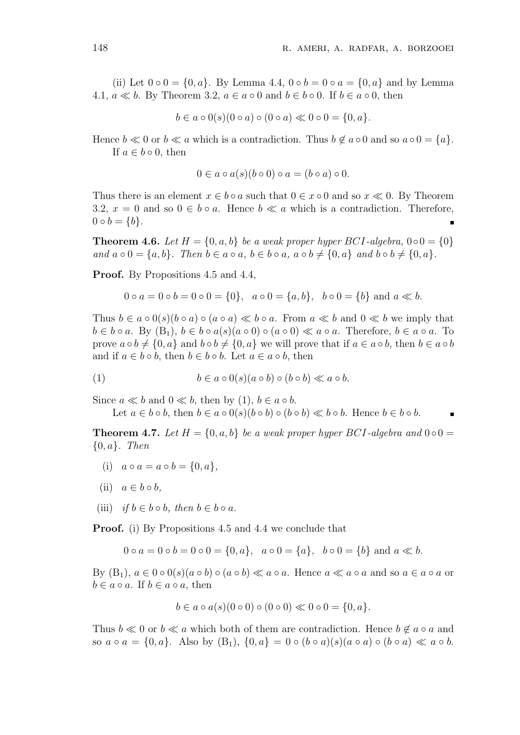(ii) Let  $0 \circ 0 = \{0, a\}$ . By Lemma 4.4,  $0 \circ b = 0 \circ a = \{0, a\}$  and by Lemma 4.1,  $a \ll b$ . By Theorem 3.2,  $a \in a \circ 0$  and  $b \in b \circ 0$ . If  $b \in a \circ 0$ , then

$$
b \in a \circ 0(s)(0 \circ a) \circ (0 \circ a) \ll 0 \circ 0 = \{0, a\}.
$$

Hence  $b \ll 0$  or  $b \ll a$  which is a contradiction. Thus  $b \not\in a \circ 0$  and so  $a \circ 0 = \{a\}$ . If  $a \in b \circ 0$ , then

$$
0 \in a \circ a(s)(b \circ 0) \circ a = (b \circ a) \circ 0.
$$

Thus there is an element  $x \in b \circ a$  such that  $0 \in x \circ 0$  and so  $x \ll 0$ . By Theorem 3.2,  $x = 0$  and so  $0 \in b \circ a$ . Hence  $b \ll a$  which is a contradiction. Therefore,  $0 \circ b = \{b\}.$ п

**Theorem 4.6.** *Let*  $H = \{0, a, b\}$  *be a weak proper hyper*  $BCI$ *-algebra,*  $0 \circ 0 = \{0\}$ and  $a \circ 0 = \{a, b\}$ . Then  $b \in a \circ a$ ,  $b \in b \circ a$ ,  $a \circ b \neq \{0, a\}$  and  $b \circ b \neq \{0, a\}$ .

**Proof.** By Propositions 4.5 and 4.4,

$$
0 \circ a = 0 \circ b = 0 \circ 0 = \{0\}, \quad a \circ 0 = \{a, b\}, \quad b \circ 0 = \{b\} \text{ and } a \ll b.
$$

Thus  $b \in a \circ 0(s)(b \circ a) \circ (a \circ a) \ll b \circ a$ . From  $a \ll b$  and  $0 \ll b$  we imply that  $b \in b \circ a$ . By  $(B_1)$ ,  $b \in b \circ a(s)(a \circ 0) \circ (a \circ 0) \ll a \circ a$ . Therefore,  $b \in a \circ a$ . To prove  $a \circ b \neq \{0, a\}$  and  $b \circ b \neq \{0, a\}$  we will prove that if  $a \in a \circ b$ , then  $b \in a \circ b$ and if  $a \in b \circ b$ , then  $b \in b \circ b$ . Let  $a \in a \circ b$ , then

(1) 
$$
b \in a \circ 0(s)(a \circ b) \circ (b \circ b) \ll a \circ b.
$$

Since  $a \ll b$  and  $0 \ll b$ , then by (1),  $b \in a \circ b$ .

Let  $a \in b \circ b$ , then  $b \in a \circ 0(s)(b \circ b) \circ (b \circ b) \ll b \circ b$ . Hence  $b \in b \circ b$ .

**Theorem 4.7.** Let  $H = \{0, a, b\}$  be a weak proper hyper BCI-algebra and  $0 \circ 0 =$ *{*0*, a}. Then*

- (i)  $a \circ a = a \circ b = \{0, a\}$
- (ii)  $a \in b \circ b$ .
- (iii) *if*  $b \in b \circ b$ , then  $b \in b \circ a$ .

**Proof.** (i) By Propositions 4.5 and 4.4 we conclude that

0 **°**  $a = 0$  **°**  $b = 0$  **°**  $0 = \{0, a\}$ ,  $a \circ 0 = \{a\}$ ,  $b \circ 0 = \{b\}$  and  $a \ll b$ .

By  $(B_1)$ ,  $a \in 0 \circ 0(s)(a \circ b) \circ (a \circ b) \ll a \circ a$ . Hence  $a \ll a \circ a$  and so  $a \in a \circ a$  or  $b \in a \circ a$ . If  $b \in a \circ a$ , then

$$
b \in a \circ a(s)(0 \circ 0) \circ (0 \circ 0) \ll 0 \circ 0 = \{0, a\}.
$$

Thus  $b \ll 0$  or  $b \ll a$  which both of them are contradiction. Hence  $b \not\in a \circ a$  and so  $a \circ a = \{0, a\}$ . Also by  $(B_1)$ ,  $\{0, a\} = 0 \circ (b \circ a)(s)(a \circ a) \circ (b \circ a) \ll a \circ b$ .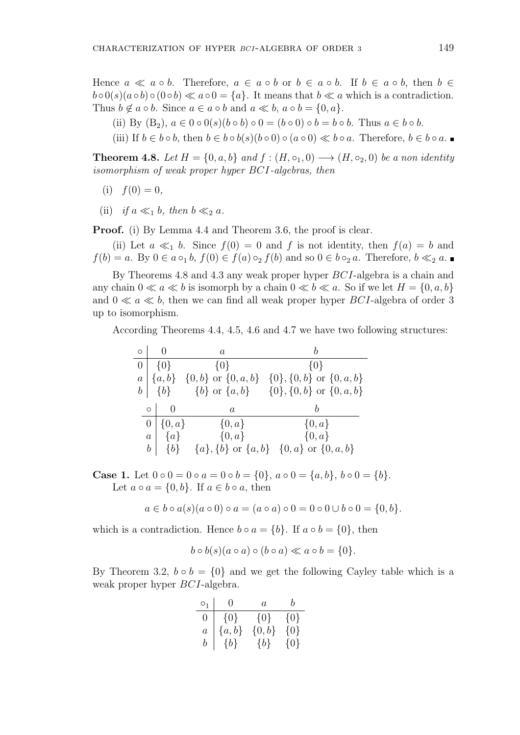Hence  $a \ll a \circ b$ . Therefore,  $a \in a \circ b$  or  $b \in a \circ b$ . If  $b \in a \circ b$ , then  $b \in a$  $b \circ 0(s)(a \circ b) \circ (0 \circ b) \ll a \circ 0 = \{a\}$ . It means that  $b \ll a$  which is a contradiction. Thus  $b \notin a \circ b$ . Since  $a \in a \circ b$  and  $a \ll b$ ,  $a \circ b = \{0, a\}$ .

- (ii) By  $(B_2)$ ,  $a \in 0 \circ 0(s) (b \circ b) \circ 0 = (b \circ 0) \circ b = b \circ b$ . Thus  $a \in b \circ b$ .
- (iii) If  $b \in b \circ b$ , then  $b \in b \circ b(s)(b \circ 0) \circ (a \circ 0) \ll b \circ a$ . Therefore,  $b \in b \circ a$ .

**Theorem 4.8.** *Let*  $H = \{0, a, b\}$  *and*  $f : (H, \circ_1, 0) \longrightarrow (H, \circ_2, 0)$  *be a non identity isomorphism of weak proper hyper BCI-algebras, then*

- $f(0) = 0$ ,
- (ii) *if*  $a \ll_1 b$ *, then*  $b \ll_2 a$ *.*

**Proof.** (i) By Lemma 4.4 and Theorem 3.6, the proof is clear.

(ii) Let  $a \ll_1 b$ . Since  $f(0) = 0$  and  $f$  is not identity, then  $f(a) = b$  and  $f(b) = a$ . By  $0 \in a \circ_1 b$ ,  $f(0) \in f(a) \circ_2 f(b)$  and so  $0 \in b \circ_2 a$ . Therefore,  $b \ll_2 a$ .

By Theorems 4.8 and 4.3 any weak proper hyper *BCI*-algebra is a chain and any chain  $0 \ll a \ll b$  is isomorph by a chain  $0 \ll b \ll a$ . So if we let  $H = \{0, a, b\}$ and  $0 \ll a \ll b$ , then we can find all weak proper hyper *BCI*-algebra of order 3 up to isomorphism.

According Theorems 4.4, 4.5, 4.6 and 4.7 we have two following structures:

| $\circ$        |         |                | $\boldsymbol{a}$          |                                           |
|----------------|---------|----------------|---------------------------|-------------------------------------------|
| $\overline{0}$ |         | $\{0\}$        | $\{0\}$                   | $\{0\}$                                   |
| $\overline{a}$ |         | $\{a,b\}$      | $\{0,b\}$ or $\{0,a,b\}$  | $\{0\}, \{0, b\}$ or $\{0, a, b\}$        |
|                |         | $b \mid \{b\}$ |                           | {b} or $\{a,b\}$ {0}, {0, b} or {0, a, b} |
|                |         |                |                           |                                           |
|                | $\circ$ |                | $\mathfrak a$             |                                           |
|                |         |                | $0   \{0, a\}$ $\{0, a\}$ | $\{0,a\}$                                 |
|                |         | $a \mid \{a\}$ | $\{0,a\}$                 | $\{0, a\}$                                |

**Case 1.** Let  $0 \circ 0 = 0 \circ a = 0 \circ b = \{0\}, a \circ 0 = \{a, b\}, b \circ 0 = \{b\}.$ Let  $a \circ a = \{0, b\}$ . If  $a \in b \circ a$ , then

$$
a \in b \circ a(s)(a \circ 0) \circ a = (a \circ a) \circ 0 = 0 \circ 0 \cup b \circ 0 = \{0, b\}.
$$

which is a contradiction. Hence  $b \circ a = \{b\}$ . If  $a \circ b = \{0\}$ , then

$$
b \circ b(s)(a \circ a) \circ (b \circ a) \ll a \circ b = \{0\}.
$$

By Theorem 3.2,  $b \circ b = \{0\}$  and we get the following Cayley table which is a weak proper hyper *BCI*-algebra.

| O <sub>1</sub> | $\mathbf{0}$ | a         | $\mathfrak b$ |
|----------------|--------------|-----------|---------------|
| 0              | $\{0\}$      | $\{0\}$   | $\{0\}$       |
| $\overline{a}$ | $\{a,b\}$    | $\{0,b\}$ | $\{0\}$       |
| b              | $\{b\}$      | $\{b\}$   | $\{0\}$       |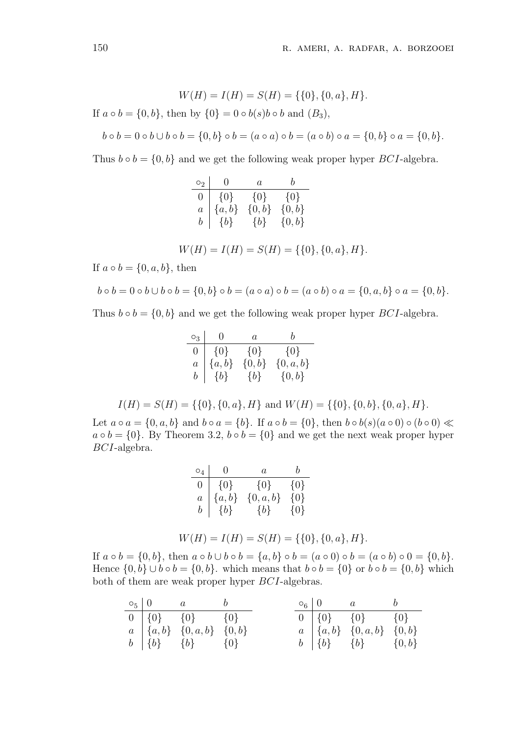$$
W(H) = I(H) = S(H) = \{\{0\}, \{0, a\}, H\}.
$$

If  $a \circ b = \{0, b\}$ , then by  $\{0\} = 0 \circ b(s)b \circ b$  and  $(B_3)$ ,

$$
b \circ b = 0 \circ b \cup b \circ b = \{0, b\} \circ b = (a \circ a) \circ b = (a \circ b) \circ a = \{0, b\} \circ a = \{0, b\}.
$$

Thus  $b \circ b = \{0, b\}$  and we get the following weak proper hyper *BCI*-algebra.

|  | $\circ_2$   0 $\qquad$ $a$                                                                                                    |  |                                                |  |
|--|-------------------------------------------------------------------------------------------------------------------------------|--|------------------------------------------------|--|
|  | $\begin{array}{c cc} 0 & \{0\} & \{0\} & \{0,b\} \ a & \{a,b\} & \{0,b\} & \{0,b\} \ b & \{b\} & \{b\} & \{0,b\} \end{array}$ |  |                                                |  |
|  |                                                                                                                               |  |                                                |  |
|  |                                                                                                                               |  |                                                |  |
|  |                                                                                                                               |  |                                                |  |
|  |                                                                                                                               |  | $W(H) = I(H) = S(H) = \{\{0\}, \{0, a\}, H\}.$ |  |

If  $a \circ b = \{0, a, b\}$ , then

$$
b \circ b = 0 \circ b \cup b \circ b = \{0, b\} \circ b = (a \circ a) \circ b = (a \circ b) \circ a = \{0, a, b\} \circ a = \{0, b\}.
$$

Thus  $b \circ b = \{0, b\}$  and we get the following weak proper hyper *BCI*-algebra.

$$
\begin{array}{c|cc} \circ_3 & 0 & a & b \\ \hline 0 & \{0\} & \{0\} & \{0\} \\ a & \{a,b\} & \{0,b\} & \{0,a,b\} \\ b & \{b\} & \{b\} & \{0,b\} \end{array}
$$

$$
I(H) = S(H) = \{\{0\}, \{0, a\}, H\} \text{ and } W(H) = \{\{0\}, \{0, b\}, \{0, a\}, H\}.
$$

Let  $a \circ a = \{0, a, b\}$  and  $b \circ a = \{b\}$ . If  $a \circ b = \{0\}$ , then  $b \circ b(s)(a \circ 0) \circ (b \circ 0) \ll$  $a \circ b = \{0\}$ . By Theorem 3.2,  $b \circ b = \{0\}$  and we get the next weak proper hyper *BCI*-algebra.

| $\circ$ <sub>4</sub> | 0         | $\mathfrak a$ | h       |
|----------------------|-----------|---------------|---------|
| $\overline{0}$       | $\{0\}$   | $\{0\}$       | $\{0\}$ |
| $\overline{a}$       | $\{a,b\}$ | $\{0,a,b\}$   | $\{0\}$ |
| b                    | $\{b\}$   | $\{b\}$       | {0}     |

$$
W(H) = I(H) = S(H) = \{\{0\}, \{0, a\}, H\}.
$$

If  $a \circ b = \{0, b\}$ , then  $a \circ b \cup b \circ b = \{a, b\} \circ b = (a \circ 0) \circ b = (a \circ b) \circ 0 = \{0, b\}$ . Hence  $\{0, b\} \cup b \circ b = \{0, b\}$ . which means that  $b \circ b = \{0\}$  or  $b \circ b = \{0, b\}$  which both of them are weak proper hyper *BCI*-algebras.

|  | $\circ_5 \mid 0$ a b                                        |  |  | $\circ_6 \mid 0$ a b                         |  |
|--|-------------------------------------------------------------|--|--|----------------------------------------------|--|
|  | $\boxed{0}$ $\boxed{\{0\}}$ $\boxed{\{0\}}$ $\boxed{\{0\}}$ |  |  | $0   \{0\}$ $\{0\}$ $\{0\}$                  |  |
|  | $a \,   \{a,b\} \,   \{0,a,b\} \,   \{0,b\}$                |  |  | $a \mid \{a,b\} \mid \{0,a,b\} \mid \{0,b\}$ |  |
|  | $b \mid \{b\}$ $\{b\}$ $\{0\}$                              |  |  | $b \mid \{b\}$ $\{b\}$ $\{0,b\}$             |  |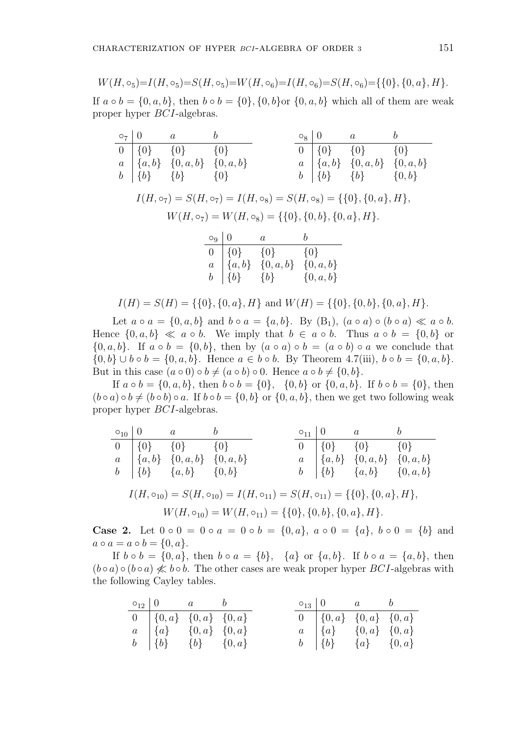$$
W(H, \circ_5) = I(H, \circ_5) = S(H, \circ_5) = W(H, \circ_6) = I(H, \circ_6) = S(H, \circ_6) = \{ \{0\}, \{0, a\}, H \}.
$$

If *a* ◦ *b* = {0*, a, b*}, then *b* ◦ *b* = {0}, {0*, b*} or {0*, a, b*} which all of them are weak proper hyper *BCI*-algebras.

|  | $\circ_7 \mid 0$ a b                                          |  |  | $\circ_8 \mid 0$ a b            |  |
|--|---------------------------------------------------------------|--|--|---------------------------------|--|
|  | $\begin{array}{ccc} \hline 0 & \{0\} & \{0\} \end{array}$ {0} |  |  | $0   \{0\}$ $\{0\}$ $\{0\}$     |  |
|  | $a \mid \{a,b\} \mid \{0,a,b\} \mid \{0,a,b\}$                |  |  | $a \{a,b\} \{0,a,b\} \{0,a,b\}$ |  |
|  | $b \mid \{b\}$ $\{b\}$ $\{0\}$                                |  |  | $b   \{b\}$ $\{b\}$ $\{0,b\}$   |  |

$$
I(H, \circ_7) = S(H, \circ_7) = I(H, \circ_8) = S(H, \circ_8) = \{ \{0\}, \{0, a\}, H \},
$$
  

$$
W(H, \circ_7) = W(H, \circ_8) = \{ \{0\}, \{0, b\}, \{0, a\}, H \}.
$$

| $\circ_9$   0 | $\overline{a}$                                                                                                                    | h             |
|---------------|-----------------------------------------------------------------------------------------------------------------------------------|---------------|
|               | $\begin{array}{c cc} 0 & \{0\} & \{0\} & \{0,a\} \ a & \{a,b\} & \{0,a,b\} & \{0,a,b\} \ b & \{b\} & \{b\} & \{0\} & \end{array}$ |               |
|               |                                                                                                                                   | $\{0,a,b\}$   |
|               |                                                                                                                                   | $\{0, a, b\}$ |

$$
I(H) = S(H) = \{\{0\}, \{0, a\}, H\} \text{ and } W(H) = \{\{0\}, \{0, b\}, \{0, a\}, H\}.
$$

Let  $a \circ a = \{0, a, b\}$  and  $b \circ a = \{a, b\}$ . By  $(B_1)$ ,  $(a \circ a) \circ (b \circ a) \ll a \circ b$ . Hence  $\{0, a, b\} \ll a \circ b$ . We imply that  $b \in a \circ b$ . Thus  $a \circ b = \{0, b\}$  or  $\{0, a, b\}$ . If  $a \circ b = \{0, b\}$ , then by  $(a \circ a) \circ b = (a \circ b) \circ a$  we conclude that *{*0*, b}* ∪ *b*  $\circ$  *b* = {0*, a, b*}. Hence *a*  $\in$  *b*  $\circ$  *b*. By Theorem 4.7(iii), *b*  $\circ$  *b* = {0*, a, b*}. But in this case  $(a \circ 0) \circ b \neq (a \circ b) \circ 0$ . Hence  $a \circ b \neq \{0, b\}$ .

If  $a \circ b = \{0, a, b\}$ , then  $b \circ b = \{0\}$ ,  $\{0, b\}$  or  $\{0, a, b\}$ . If  $b \circ b = \{0\}$ , then  $(b \circ a) \circ b \neq (b \circ b) \circ a$ . If  $b \circ b = \{0, b\}$  or  $\{0, a, b\}$ , then we get two following weak proper hyper *BCI*-algebras.

$$
\begin{array}{c|c|c|c}\n\hline\n\text{O} & 0 & a & b \\
\hline\n0 & \{0\} & \{0\} & \{0\} & \\
a & \{a, b\} & \{0, a, b\} & \{0, a, b\} \\
b & \{b\} & \{a, b\} & \{0, b\} & \\
b & \text{I}(H, \circ_{10}) = S(H, \circ_{10}) = I(H, \circ_{11}) = S(H, \circ_{11}) = \{\{0\}, \{0, a\}, H\}, \\
& W(H, \circ_{10}) = W(H, \circ_{11}) = \{\{0\}, \{0, b\}, \{0, a\}, H\}.\n\end{array}
$$

**Case 2.** Let  $0 \circ 0 = 0 \circ a = 0 \circ b = \{0, a\}$ ,  $a \circ 0 = \{a\}$ ,  $b \circ 0 = \{b\}$  and  $a \circ a = a \circ b = \{0, a\}.$ 

If  $b \circ b = \{0, a\}$ , then  $b \circ a = \{b\}$ ,  $\{a\}$  or  $\{a, b\}$ . If  $b \circ a = \{a, b\}$ , then  $(b \circ a) \circ (b \circ a) \nleq b \circ b$ . The other cases are weak proper hyper *BCI*-algebras with the following Cayley tables.

| $\circ_{12}$   0 $a$ $b$                                       |  |  | $\circ_{13}$   0 $a$ $b$       |  |
|----------------------------------------------------------------|--|--|--------------------------------|--|
| $0 \{0,a\} \{0,a\} \{0,a\}$                                    |  |  | $0 \{0, a\} \{0, a\} \{0, a\}$ |  |
| $a \{a\} \{a\} \{0,a\} \{0,a\}$                                |  |  | $a \{a\} \{0,a\} \{0,a\}$      |  |
| $b \begin{array}{ccc} b & \{b\} & \{b\} & \{0,a\} \end{array}$ |  |  | $b \{b\} \{a\} \{0,a\}$        |  |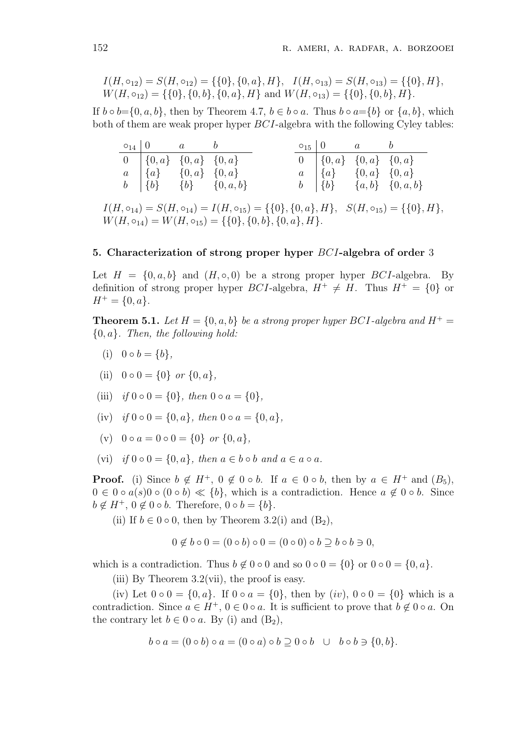$$
I(H, \circ_{12}) = S(H, \circ_{12}) = \{\{0\}, \{0, a\}, H\}, \quad I(H, \circ_{13}) = S(H, \circ_{13}) = \{\{0\}, H\}, \quad W(H, \circ_{12}) = \{\{0\}, \{0, b\}, \{0, a\}, H\} \text{ and } W(H, \circ_{13}) = \{\{0\}, \{0, b\}, H\}.
$$

If  $b \circ b = \{0, a, b\}$ , then by Theorem 4.7,  $b \in b \circ a$ . Thus  $b \circ a = \{b\}$  or  $\{a, b\}$ , which both of them are weak proper hyper *BCI*-algebra with the following Cyley tables:

|                                | $\circ_{14}$   0 $a$ $b$                   |  |                | $\circ_{15}$   0 $\qquad a$ $\qquad b$ |                       |
|--------------------------------|--------------------------------------------|--|----------------|----------------------------------------|-----------------------|
| $0 \{0, a\} \{0, a\} \{0, a\}$ |                                            |  |                | $0 \{0, a\} \{0, a\} \{0, a\}$         |                       |
|                                | $a \{a\} \{0,a\} \{0,a\}$                  |  |                | $a \mid \{a\}$ $\{0,a\}$ $\{0,a\}$     |                       |
|                                | $b \mid \{b\} \mid \{b\} \mid \{0, a, b\}$ |  | $b \mid \{b\}$ |                                        | $\{a,b\}$ $\{0,a,b\}$ |

 $I(H, \circ_{14}) = S(H, \circ_{14}) = I(H, \circ_{15}) = \{\{0\}, \{0, a\}, H\}, S(H, \circ_{15}) = \{\{0\}, H\},$  $W(H, \circ_{14}) = W(H, \circ_{15}) = \{\{0\}, \{0, b\}, \{0, a\}, H\}.$ 

#### **5. Characterization of strong proper hyper** *BCI***-algebra of order** 3

Let  $H = \{0, a, b\}$  and  $(H, \circ, 0)$  be a strong proper hyper *BCI*-algebra. By definition of strong proper hyper *BCI*-algebra,  $H^+ \neq H$ . Thus  $H^+ = \{0\}$  or  $H^+ = \{0, a\}.$ 

**Theorem 5.1.** *Let*  $H = \{0, a, b\}$  *be a strong proper hyper BCI-algebra and*  $H^+$ *{*0*, a}. Then, the following hold:*

- (i)  $0 \circ b = \{b\},\$
- (ii)  $0 \circ 0 = \{0\}$  *or*  $\{0, a\}$ ,
- (iii) *if*  $0 \circ 0 = \{0\}$ *, then*  $0 \circ a = \{0\}$ *,*
- $(iv)$  *if*  $0 \circ 0 = \{0, a\}$ *, then*  $0 \circ a = \{0, a\}$ *,*
- $(v)$  0  $\circ$   $a = 0 \circ 0 = \{0\}$  or  $\{0, a\}$ ,
- (vi) *if*  $0 \circ 0 = \{0, a\}$ *, then*  $a \in b \circ b$  *and*  $a \in a \circ a$ *.*

**Proof.** (i) Since  $b \notin H^+$ ,  $0 \notin 0 \circ b$ . If  $a \in 0 \circ b$ , then by  $a \in H^+$  and  $(B_5)$ , 0 ∈ 0 ∘  $a(s)$ 0 ∘ (0 ∘ *b*) ≪ {*b*}, which is a contradiction. Hence  $a \notin 0$  ∘ *b*. Since  $b \notin H^+, 0 \notin \{0 \circ b\}$ . Therefore,  $0 \circ b = \{b\}$ .

(ii) If  $b \in 0 \circ 0$ , then by Theorem 3.2(i) and  $(B_2)$ ,

$$
0 \notin b \circ 0 = (0 \circ b) \circ 0 = (0 \circ 0) \circ b \supseteq b \circ b \ni 0,
$$

which is a contradiction. Thus  $b \notin 0 \circ 0$  and so  $0 \circ 0 = \{0\}$  or  $0 \circ 0 = \{0, a\}$ .

(iii) By Theorem  $3.2$ (vii), the proof is easy.

(iv) Let  $0 \circ 0 = \{0, a\}$ . If  $0 \circ a = \{0\}$ , then by  $(iv)$ ,  $0 \circ 0 = \{0\}$  which is a contradiction. Since  $a \in H^+$ ,  $0 \in 0 \circ a$ . It is sufficient to prove that  $b \notin 0 \circ a$ . On the contrary let  $b \in 0 \circ a$ . By (i) and  $(B_2)$ ,

$$
b \circ a = (0 \circ b) \circ a = (0 \circ a) \circ b \supseteq 0 \circ b \quad \cup \quad b \circ b \ni \{0, b\}.
$$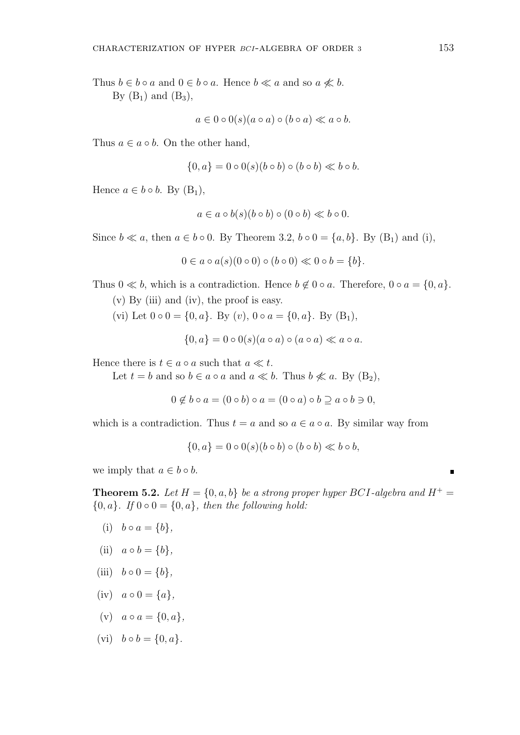Thus  $b \in b \circ a$  and  $0 \in b \circ a$ . Hence  $b \ll a$  and so  $a \not\ll b$ . By  $(B_1)$  and  $(B_3)$ ,

$$
a \in 0 \circ 0(s)(a \circ a) \circ (b \circ a) \ll a \circ b.
$$

Thus  $a \in a \circ b$ . On the other hand,

$$
\{0, a\} = 0 \circ 0(s)(b \circ b) \circ (b \circ b) \ll b \circ b.
$$

Hence  $a \in b \circ b$ . By  $(B_1)$ ,

$$
a \in a \circ b(s)(b \circ b) \circ (0 \circ b) \ll b \circ 0.
$$

Since  $b \ll a$ , then  $a \in b \circ 0$ . By Theorem 3.2,  $b \circ 0 = \{a, b\}$ . By  $(B_1)$  and (i),

$$
0 \in a \circ a(s)(0 \circ 0) \circ (b \circ 0) \ll 0 \circ b = \{b\}.
$$

Thus  $0 \ll b$ , which is a contradiction. Hence  $b \notin 0 \circ a$ . Therefore,  $0 \circ a = \{0, a\}$ .

(v) By (iii) and (iv), the proof is easy.

(vi) Let  $0 \circ 0 = \{0, a\}$ . By  $(v)$ ,  $0 \circ a = \{0, a\}$ . By  $(B_1)$ ,

$$
\{0, a\} = 0 \circ 0(s)(a \circ a) \circ (a \circ a) \ll a \circ a.
$$

Hence there is  $t \in a \circ a$  such that  $a \ll t$ .

Let  $t = b$  and so  $b \in a \circ a$  and  $a \ll b$ . Thus  $b \nleq a \circ B$ , By  $(B_2)$ ,

$$
0 \notin b \circ a = (0 \circ b) \circ a = (0 \circ a) \circ b \supseteq a \circ b \supseteq 0,
$$

which is a contradiction. Thus  $t = a$  and so  $a \in a \circ a$ . By similar way from

$$
\{0, a\} = 0 \circ 0(s)(b \circ b) \circ (b \circ b) \ll b \circ b,
$$

we imply that  $a \in b \circ b$ .

**Theorem 5.2.** Let  $H = \{0, a, b\}$  be a strong proper hyper BCI-algebra and  $H^+$  $\{0, a\}$ *. If*  $0 \circ 0 = \{0, a\}$ *, then the following hold:* 

- (i)  $b \circ a = \{b\},\$
- (ii)  $a \circ b = \{b\},\$
- (iii)  $b \circ 0 = \{b\}$ ,
- $(iv)$   $a \circ 0 = \{a\},\}$
- $(v)$   $a \circ a = \{0, a\},\$
- $(vi)$   $b \circ b = \{0, a\}.$

٠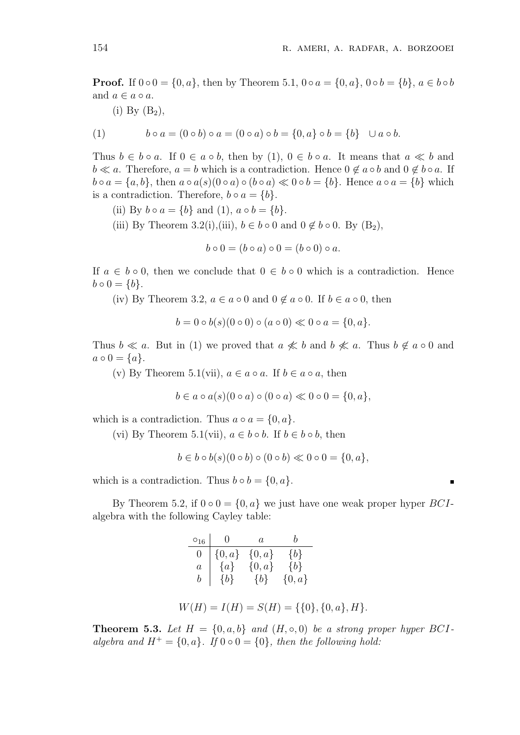**Proof.** If  $0 \circ 0 = \{0, a\}$ , then by Theorem 5.1,  $0 \circ a = \{0, a\}$ ,  $0 \circ b = \{b\}$ ,  $a \in b \circ b$ and  $a \in a \circ a$ .

(i) By  $(B_2)$ ,

(1) 
$$
b \circ a = (0 \circ b) \circ a = (0 \circ a) \circ b = \{0, a\} \circ b = \{b\} \cup a \circ b.
$$

Thus  $b \in b \circ a$ . If  $0 \in a \circ b$ , then by (1),  $0 \in b \circ a$ . It means that  $a \ll b$  and  $b \ll a$ . Therefore,  $a = b$  which is a contradiction. Hence  $0 \notin a \circ b$  and  $0 \notin b \circ a$ . If  $b \circ a = \{a, b\}$ , then  $a \circ a(s)(0 \circ a) \circ (b \circ a) \ll 0 \circ b = \{b\}$ . Hence  $a \circ a = \{b\}$  which is a contradiction. Therefore,  $b \circ a = \{b\}$ .

- (ii) By  $b \circ a = \{b\}$  and  $(1), a \circ b = \{b\}$ .
- (iii) By Theorem 3.2(i),(iii),  $b \in b \circ 0$  and  $0 \notin b \circ 0$ . By  $(B_2)$ ,

$$
b \circ 0 = (b \circ a) \circ 0 = (b \circ 0) \circ a.
$$

If  $a \in b \circ 0$ , then we conclude that  $0 \in b \circ 0$  which is a contradiction. Hence  $b \circ 0 = \{b\}.$ 

(iv) By Theorem 3.2,  $a \in a \circ 0$  and  $0 \notin a \circ 0$ . If  $b \in a \circ 0$ , then

$$
b = 0 \circ b(s)(0 \circ 0) \circ (a \circ 0) \ll 0 \circ a = \{0, a\}.
$$

Thus  $b \ll a$ . But in (1) we proved that  $a \not\ll b$  and  $b \not\ll a$ . Thus  $b \not\in a \circ 0$  and  $a \circ 0 = \{a\}.$ 

(v) By Theorem 5.1(vii),  $a \in a \circ a$ . If  $b \in a \circ a$ , then

$$
b \in a \circ a(s)(0 \circ a) \circ (0 \circ a) \ll 0 \circ 0 = \{0, a\},\
$$

which is a contradiction. Thus  $a \circ a = \{0, a\}$ .

(vi) By Theorem 5.1(vii),  $a \in b \circ b$ . If  $b \in b \circ b$ , then

 $b \in b \circ b(s)(0 \circ b) \circ (0 \circ b) \ll 0 \circ 0 = \{0, a\},\$ 

which is a contradiction. Thus  $b \circ b = \{0, a\}$ .

By Theorem 5.2, if  $0 \circ 0 = \{0, a\}$  we just have one weak proper hyper *BCI*algebra with the following Cayley table:

|                    | $\circ_{16}$ 0 a                                                                                                                                        |                                         |        |  |
|--------------------|---------------------------------------------------------------------------------------------------------------------------------------------------------|-----------------------------------------|--------|--|
|                    | $\begin{tabular}{c c c} 0 & $\{0,a\}$ & $\{0,a\}$ & $\{b\}$ \\ a & $\{a\}$ & $\{0,a\}$ & $\{b\}$ \\ b & $\{b\}$ & $\{b\}$ & $\{0,a\}$ \\ \end{tabular}$ |                                         |        |  |
|                    |                                                                                                                                                         |                                         |        |  |
|                    |                                                                                                                                                         |                                         |        |  |
|                    |                                                                                                                                                         |                                         |        |  |
| $\tau / \tau \tau$ | T/TT                                                                                                                                                    | $\alpha$ ( $\tau$ $\tau$ ) ( $\alpha$ ) | $\sim$ |  |

$$
W(H) = I(H) = S(H) = \{\{0\}, \{0, a\}, H\}.
$$

**Theorem 5.3.** Let  $H = \{0, a, b\}$  and  $(H, \circ, 0)$  be a strong proper hyper BCI*algebra and*  $H^+ = \{0, a\}$ *. If*  $0 \circ 0 = \{0\}$ *, then the following hold:*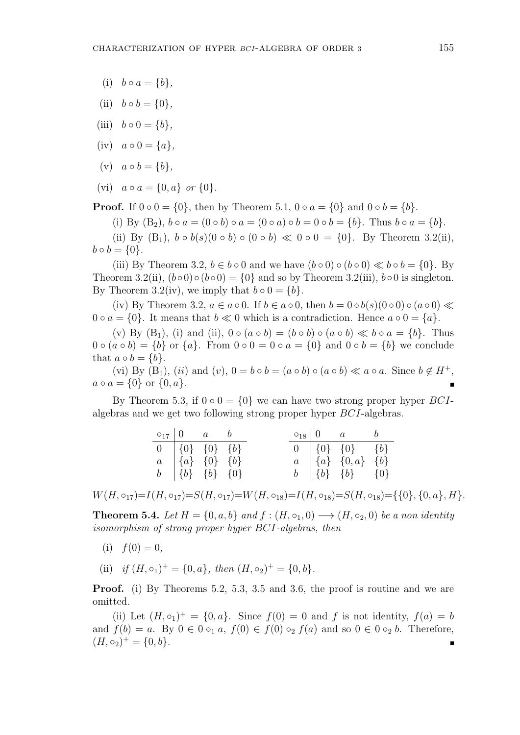- (i)  $b \circ a = \{b\},\$
- (ii)  $b \circ b = \{0\},\$
- (iii)  $b \circ 0 = \{b\},\$
- $(iv)$   $a \circ 0 = \{a\},\}$
- $(v)$   $a \circ b = \{b\},\$
- $(vi)$   $a \circ a = \{0, a\}$  or  $\{0\}$ .

**Proof.** If  $0 \circ 0 = \{0\}$ , then by Theorem 5.1,  $0 \circ a = \{0\}$  and  $0 \circ b = \{b\}$ .

(i) By  $(B_2)$ ,  $b \circ a = (0 \circ b) \circ a = (0 \circ a) \circ b = 0 \circ b = \{b\}$ . Thus  $b \circ a = \{b\}$ .

(ii) By  $(B_1)$ ,  $b \circ b(s)(0 \circ b) \circ (0 \circ b) \ll 0 \circ 0 = \{0\}$ . By Theorem 3.2(ii),  $b \circ b = \{0\}.$ 

(iii) By Theorem 3.2,  $b \in b \circ 0$  and we have  $(b \circ 0) \circ (b \circ 0) \ll b \circ b = \{0\}$ . By Theorem 3.2(ii),  $(b \circ 0) \circ (b \circ 0) = \{0\}$  and so by Theorem 3.2(iii),  $b \circ 0$  is singleton. By Theorem 3.2(iv), we imply that  $b \circ 0 = \{b\}$ .

 $(iv)$  By Theorem 3.2,  $a \in a \circ 0$ . If  $b \in a \circ 0$ , then  $b = 0 \circ b(s)(0 \circ 0) \circ (a \circ 0) \ll$  $0 \circ a = \{0\}$ . It means that  $b \ll 0$  which is a contradiction. Hence  $a \circ 0 = \{a\}$ .

(v) By  $(B_1)$ , (i) and (ii),  $0 \circ (a \circ b) = (b \circ b) \circ (a \circ b) \ll b \circ a = \{b\}$ . Thus 0 **○**  $(a ∘ b) = \{b\}$  or  $\{a\}$ . From 0 **○** 0 = 0 **○**  $a = \{0\}$  and 0 **○**  $b = \{b\}$  we conclude that  $a \circ b = \{b\}$ .

(vi) By  $(B_1)$ ,  $(ii)$  and  $(v)$ ,  $0 = b \circ b = (a \circ b) \circ (a \circ b) \ll a \circ a$ . Since  $b \notin H^+$ ,  $a \circ a = \{0\}$  or  $\{0, a\}.$ 

By Theorem 5.3, if  $0 \circ 0 = \{0\}$  we can have two strong proper hyper *BCI*algebras and we get two following strong proper hyper *BCI*-algebras.

|                                                                                                     | $\circ_{17}$   0 $a$ $b$ |  | $\circ_{18}$   0 $a$ $b$                                                                            |  |
|-----------------------------------------------------------------------------------------------------|--------------------------|--|-----------------------------------------------------------------------------------------------------|--|
| $\begin{array}{cc} 0 & \{0\} & \{0\} & \{b\} \\ a & \{a\} & \{0\} & \{b\} \end{array}$              |                          |  | $0   \{0\} \{0\} \{0\}$                                                                             |  |
|                                                                                                     |                          |  | $a \begin{bmatrix} \{a\} & \{0,a\} & \{b\} \end{bmatrix}$                                           |  |
| $b \begin{bmatrix} b \end{bmatrix} \begin{bmatrix} b \end{bmatrix} \begin{bmatrix} b \end{bmatrix}$ |                          |  | $b \begin{bmatrix} b \end{bmatrix} \begin{bmatrix} b \end{bmatrix} \begin{bmatrix} b \end{bmatrix}$ |  |

 $W(H, \circ_{17})=I(H, \circ_{17})=S(H, \circ_{17})=W(H, \circ_{18})=I(H, \circ_{18})=S(H, \circ_{18})=\{0\}, \{0, a\}, H\}.$ 

**Theorem 5.4.** *Let*  $H = \{0, a, b\}$  *and*  $f : (H, \circ_1, 0) \longrightarrow (H, \circ_2, 0)$  *be a non identity isomorphism of strong proper hyper BCI-algebras, then*

- (i)  $f(0) = 0$ ,
- (ii) *if*  $(H, \circ_1)^+ = \{0, a\}$ , then  $(H, \circ_2)^+ = \{0, b\}$ .

**Proof.** (i) By Theorems 5.2, 5.3, 3.5 and 3.6, the proof is routine and we are omitted.

(ii) Let  $(H, \circ_1)^+ = \{0, a\}$ . Since  $f(0) = 0$  and f is not identity,  $f(a) = b$ and  $f(b) = a$ . By  $0 \in 0 \circ_1 a$ ,  $f(0) \in f(0) \circ_2 f(a)$  and so  $0 \in 0 \circ_2 b$ . Therefore,  $(H, \circ_2)^+ = \{0, b\}.$ п